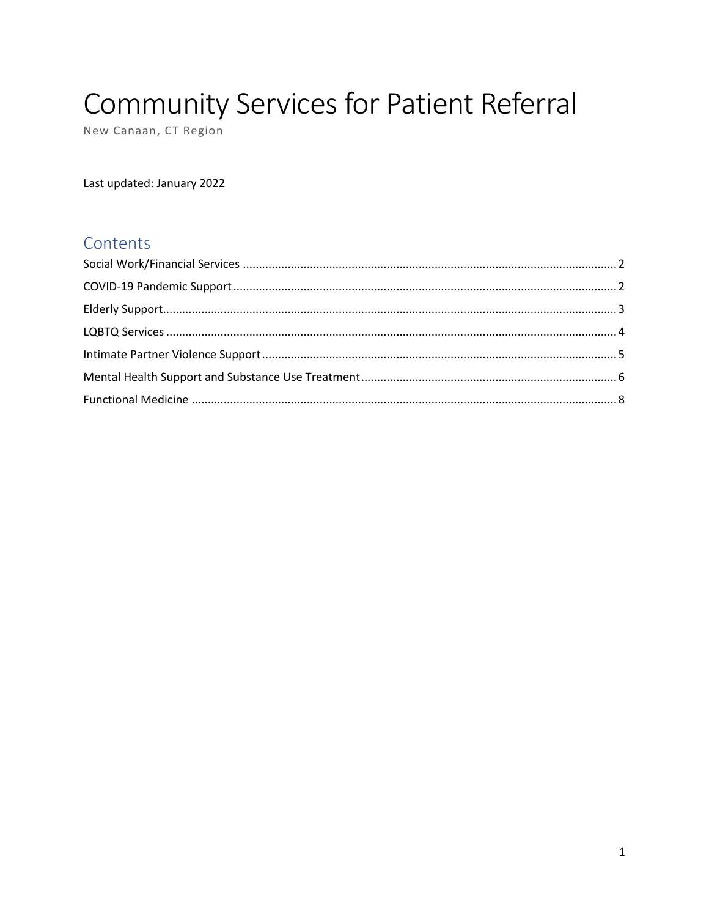# **Community Services for Patient Referral**

New Canaan, CT Region

Last updated: January 2022

# Contents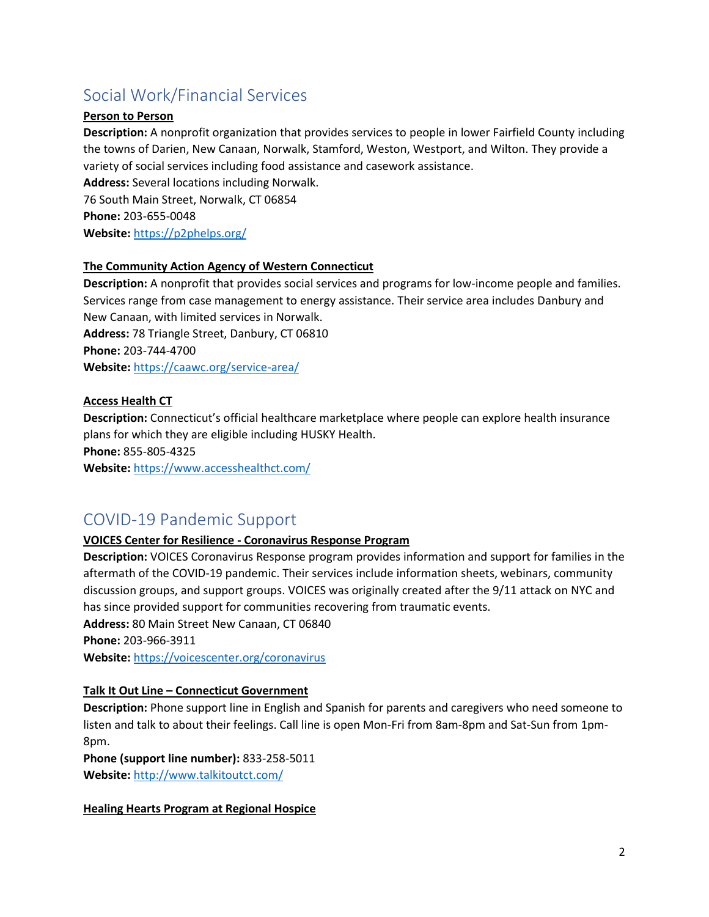# <span id="page-1-0"></span>Social Work/Financial Services

# **Person to Person**

**Description:** A nonprofit organization that provides services to people in lower Fairfield County including the towns of Darien, New Canaan, Norwalk, Stamford, Weston, Westport, and Wilton. They provide a variety of social services including food assistance and casework assistance. **Address:** Several locations including Norwalk.

76 South Main Street, Norwalk, CT 06854 **Phone:** 203-655-0048 **Website:** <https://p2phelps.org/>

# **The Community Action Agency of Western Connecticut**

**Description:** A nonprofit that provides social services and programs for low-income people and families. Services range from case management to energy assistance. Their service area includes Danbury and New Canaan, with limited services in Norwalk.

**Address:** 78 Triangle Street, Danbury, CT 06810 **Phone:** 203-744-4700 **Website:** <https://caawc.org/service-area/>

# **Access Health CT**

**Description:** Connecticut's official healthcare marketplace where people can explore health insurance plans for which they are eligible including HUSKY Health.

**Phone:** 855-805-4325

**Website:** <https://www.accesshealthct.com/>

# <span id="page-1-1"></span>COVID-19 Pandemic Support

# **VOICES Center for Resilience - Coronavirus Response Program**

**Description:** VOICES Coronavirus Response program provides information and support for families in the aftermath of the COVID-19 pandemic. Their services include information sheets, webinars, community discussion groups, and support groups. VOICES was originally created after the 9/11 attack on NYC and has since provided support for communities recovering from traumatic events. **Address:** 80 Main Street New Canaan, CT 06840

**Phone:** 203-966-3911

**Website:** <https://voicescenter.org/coronavirus>

# **Talk It Out Line – Connecticut Government**

**Description:** Phone support line in English and Spanish for parents and caregivers who need someone to listen and talk to about their feelings. Call line is open Mon-Fri from 8am-8pm and Sat-Sun from 1pm-8pm.

**Phone (support line number):** 833-258-5011 **Website:** <http://www.talkitoutct.com/>

**Healing Hearts Program at Regional Hospice**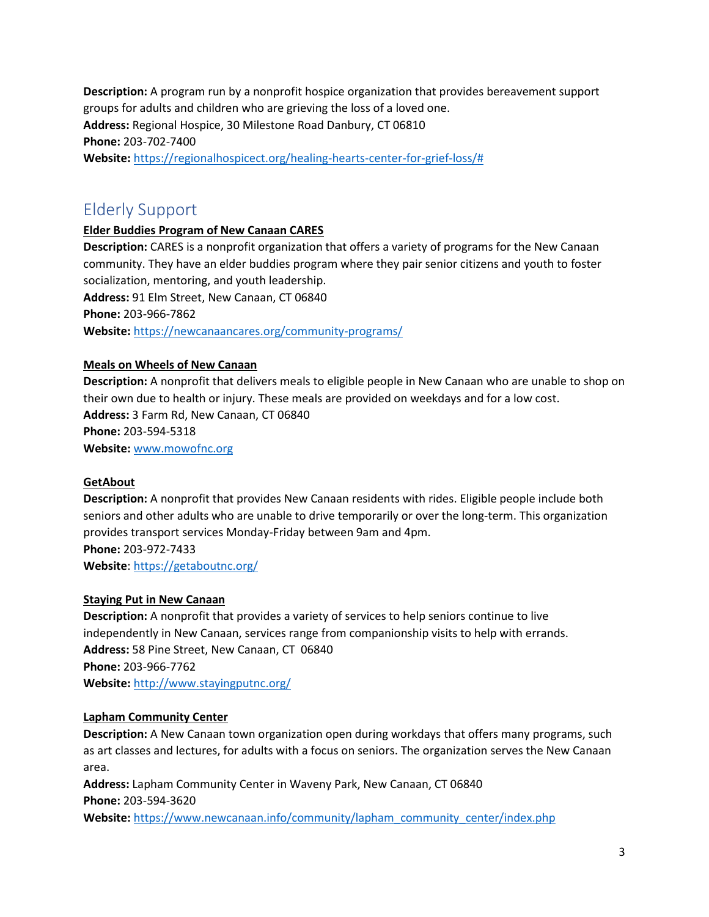**Description:** A program run by a nonprofit hospice organization that provides bereavement support groups for adults and children who are grieving the loss of a loved one. **Address:** Regional Hospice, 30 Milestone Road Danbury, CT 06810 **Phone:** 203-702-7400 **Website:** [https://regionalhospicect.org/healing-hearts-center-for-grief-loss/#](https://regionalhospicect.org/healing-hearts-center-for-grief-loss/)

# <span id="page-2-0"></span>Elderly Support

# **Elder Buddies Program of New Canaan CARES**

**Description:** CARES is a nonprofit organization that offers a variety of programs for the New Canaan community. They have an elder buddies program where they pair senior citizens and youth to foster socialization, mentoring, and youth leadership. **Address:** 91 Elm Street, New Canaan, CT 06840 **Phone:** 203-966-7862 **Website:** <https://newcanaancares.org/community-programs/>

# **Meals on Wheels of New Canaan**

**Description:** A nonprofit that delivers meals to eligible people in New Canaan who are unable to shop on their own due to health or injury. These meals are provided on weekdays and for a low cost. **Address:** 3 Farm Rd, New Canaan, CT 06840 **Phone:** 203-594-5318 **Website:** [www.mowofnc.org](http://www.mowofnc.org/)

# **GetAbout**

**Description:** A nonprofit that provides New Canaan residents with rides. Eligible people include both seniors and other adults who are unable to drive temporarily or over the long-term. This organization provides transport services Monday-Friday between 9am and 4pm. **Phone:** 203-972-7433

**Website**: <https://getaboutnc.org/>

# **Staying Put in New Canaan**

**Description:** A nonprofit that provides a variety of services to help seniors continue to live independently in New Canaan, services range from companionship visits to help with errands. **Address:** 58 Pine Street, New Canaan, CT 06840 **Phone:** 203-966-7762 **Website:** <http://www.stayingputnc.org/>

# **Lapham Community Center**

**Description:** A New Canaan town organization open during workdays that offers many programs, such as art classes and lectures, for adults with a focus on seniors. The organization serves the New Canaan area.

**Address:** Lapham Community Center in Waveny Park, New Canaan, CT 06840 **Phone:** 203-594-3620

**Website:** [https://www.newcanaan.info/community/lapham\\_community\\_center/index.php](https://www.newcanaan.info/community/lapham_community_center/index.php)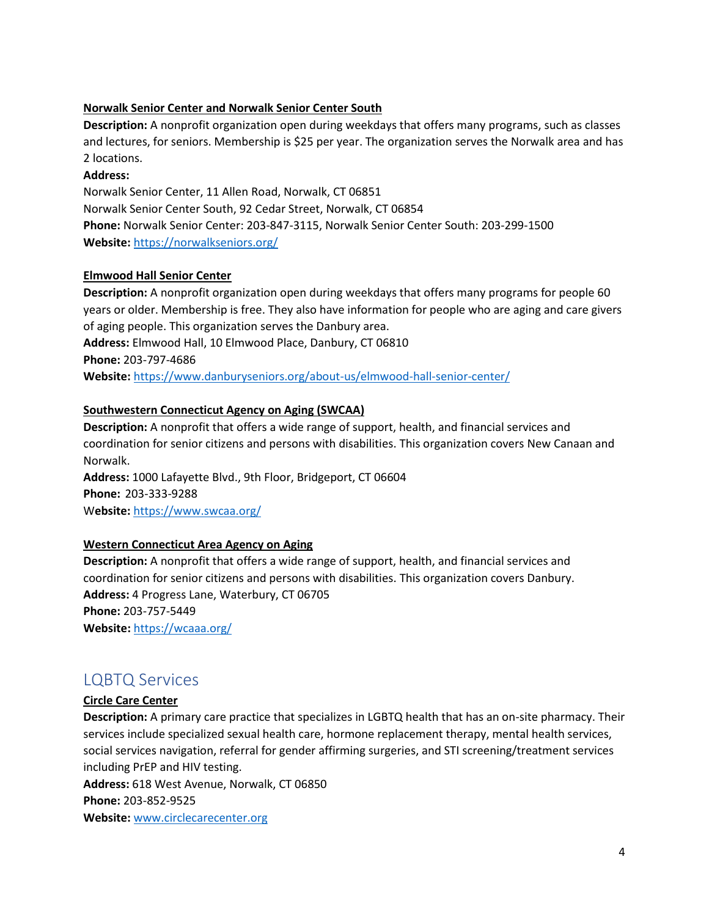# **Norwalk Senior Center and Norwalk Senior Center South**

**Description:** A nonprofit organization open during weekdays that offers many programs, such as classes and lectures, for seniors. Membership is \$25 per year. The organization serves the Norwalk area and has 2 locations.

# **Address:**

Norwalk Senior Center, 11 Allen Road, Norwalk, CT 06851 Norwalk Senior Center South, 92 Cedar Street, Norwalk, CT 06854 **Phone:** Norwalk Senior Center: 203-847-3115, Norwalk Senior Center South: 203-299-1500 **Website:** <https://norwalkseniors.org/>

# **Elmwood Hall Senior Center**

**Description:** A nonprofit organization open during weekdays that offers many programs for people 60 years or older. Membership is free. They also have information for people who are aging and care givers of aging people. This organization serves the Danbury area. **Address:** Elmwood Hall, 10 Elmwood Place, Danbury, CT 06810

**Phone:** 203-797-4686

**Website:** <https://www.danburyseniors.org/about-us/elmwood-hall-senior-center/>

# **Southwestern Connecticut Agency on Aging (SWCAA)**

**Description:** A nonprofit that offers a wide range of support, health, and financial services and coordination for senior citizens and persons with disabilities. This organization covers New Canaan and Norwalk.

**Address:** 1000 Lafayette Blvd., 9th Floor, Bridgeport, CT 06604 **Phone:** 203-333-9288 W**ebsite:** <https://www.swcaa.org/>

# **Western Connecticut Area Agency on Aging**

**Description:** A nonprofit that offers a wide range of support, health, and financial services and coordination for senior citizens and persons with disabilities. This organization covers Danbury. **Address:** 4 Progress Lane, Waterbury, CT 06705 **Phone:** 203-757-5449 **Website:** <https://wcaaa.org/>

# <span id="page-3-0"></span>LQBTQ Services

# **Circle Care Center**

**Description:** A primary care practice that specializes in LGBTQ health that has an on-site pharmacy. Their services include specialized sexual health care, hormone replacement therapy, mental health services, social services navigation, referral for gender affirming surgeries, and STI screening/treatment services including PrEP and HIV testing.

**Address:** 618 West Avenue, Norwalk, CT 06850 **Phone:** 203-852-9525 **Website:** [www.circlecarecenter.org](http://www.circlecarecenter.org/)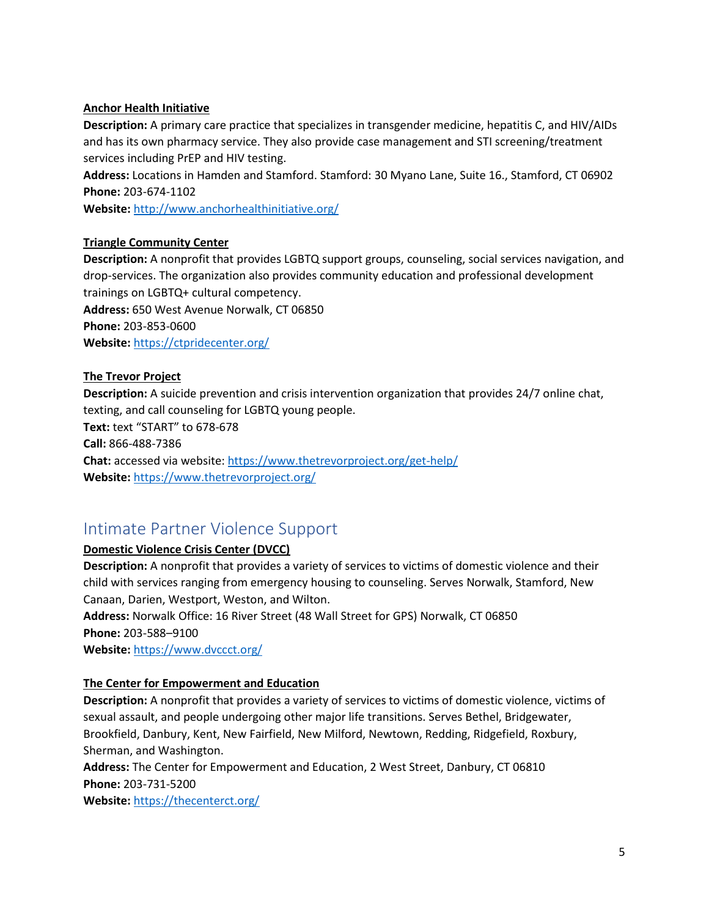#### **Anchor Health Initiative**

**Description:** A primary care practice that specializes in transgender medicine, hepatitis C, and HIV/AIDs and has its own pharmacy service. They also provide case management and STI screening/treatment services including PrEP and HIV testing.

**Address:** Locations in Hamden and Stamford. Stamford: 30 Myano Lane, Suite 16., Stamford, CT 06902 **Phone:** 203-674-1102

**Website:** <http://www.anchorhealthinitiative.org/>

#### **Triangle Community Center**

**Description:** A nonprofit that provides LGBTQ support groups, counseling, social services navigation, and drop-services. The organization also provides community education and professional development trainings on LGBTQ+ cultural competency. **Address:** 650 West Avenue Norwalk, CT 06850 **Phone:** 203-853-0600 **Website:** <https://ctpridecenter.org/>

# **The Trevor Project**

**Description:** A suicide prevention and crisis intervention organization that provides 24/7 online chat, texting, and call counseling for LGBTQ young people. **Text:** text "START" to 678-678 **Call:** 866-488-7386 **Chat:** accessed via website[: https://www.thetrevorproject.org/get-help/](https://www.thetrevorproject.org/get-help/) **Website:** <https://www.thetrevorproject.org/>

# <span id="page-4-0"></span>Intimate Partner Violence Support

# **Domestic Violence Crisis Center (DVCC)**

**Description:** A nonprofit that provides a variety of services to victims of domestic violence and their child with services ranging from emergency housing to counseling. Serves Norwalk, Stamford, New Canaan, Darien, Westport, Weston, and Wilton.  

**Address:** Norwalk Office: 16 River Street (48 Wall Street for GPS) Norwalk, CT 06850 **Phone:** 203-588–9100

**Website:** <https://www.dvccct.org/>

#### **The Center for Empowerment and Education**

**Description:** A nonprofit that provides a variety of services to victims of domestic violence, victims of sexual assault, and people undergoing other major life transitions. Serves Bethel, Bridgewater, Brookfield, Danbury, Kent, New Fairfield, New Milford, Newtown, Redding, Ridgefield, Roxbury, Sherman, and Washington.

**Address:** The Center for Empowerment and Education, 2 West Street, Danbury, CT 06810 **Phone:** 203-731-5200

**Website:** <https://thecenterct.org/>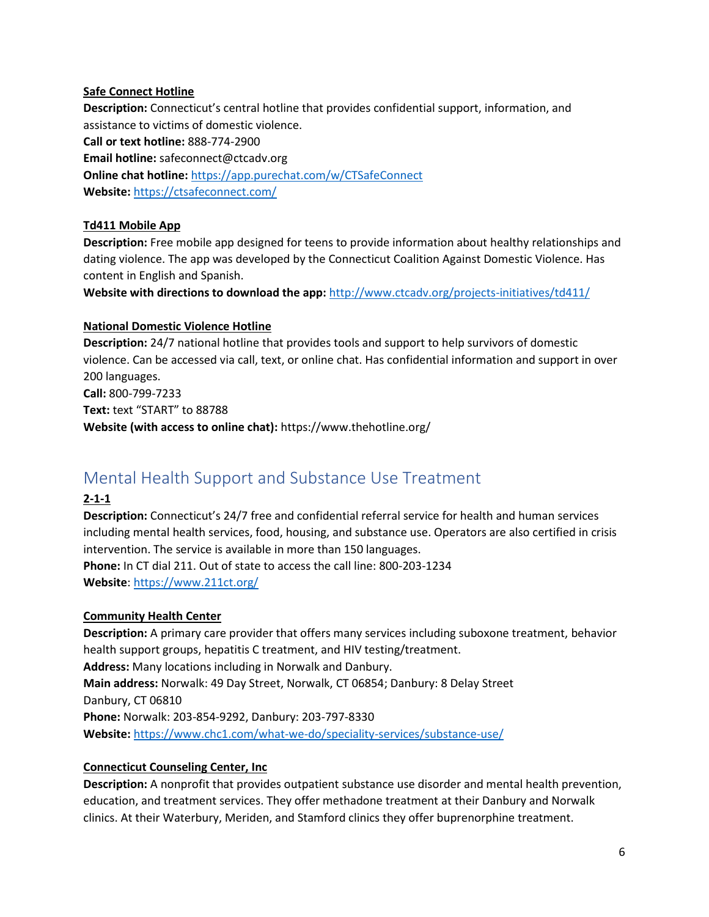### **Safe Connect Hotline**

**Description:** Connecticut's central hotline that provides confidential support, information, and assistance to victims of domestic violence.

**Call or text hotline:** 888-774-2900 **Email hotline:** safeconnect@ctcadv.org **Online chat hotline:** <https://app.purechat.com/w/CTSafeConnect> **Website:** <https://ctsafeconnect.com/>

# **Td411 Mobile App**

**Description:** Free mobile app designed for teens to provide information about healthy relationships and dating violence. The app was developed by the Connecticut Coalition Against Domestic Violence. Has content in English and Spanish.

**Website with directions to download the app:** <http://www.ctcadv.org/projects-initiatives/td411/>

# **National Domestic Violence Hotline**

**Description:** 24/7 national hotline that provides tools and support to help survivors of domestic violence. Can be accessed via call, text, or online chat. Has confidential information and support in over 200 languages. **Call:** 800-799-7233 **Text:** text "START" to 88788 **Website (with access to online chat):** https://www.thehotline.org/

# <span id="page-5-0"></span>Mental Health Support and Substance Use Treatment

# **2-1-1**

**Description:** Connecticut's 24/7 free and confidential referral service for health and human services including mental health services, food, housing, and substance use. Operators are also certified in crisis intervention. The service is available in more than 150 languages.

**Phone:** In CT dial 211. Out of state to access the call line: 800-203-1234 **Website**: <https://www.211ct.org/>

# **Community Health Center**

**Description:** A primary care provider that offers many services including suboxone treatment, behavior health support groups, hepatitis C treatment, and HIV testing/treatment. **Address:** Many locations including in Norwalk and Danbury. **Main address:** Norwalk: 49 Day Street, Norwalk, CT 06854; Danbury: 8 Delay Street Danbury, CT 06810 **Phone:** Norwalk: 203-854-9292, Danbury: 203-797-8330 **Website:** <https://www.chc1.com/what-we-do/speciality-services/substance-use/>

# **Connecticut Counseling Center, Inc**

**Description:** A nonprofit that provides outpatient substance use disorder and mental health prevention, education, and treatment services. They offer methadone treatment at their Danbury and Norwalk clinics. At their Waterbury, Meriden, and Stamford clinics they offer buprenorphine treatment.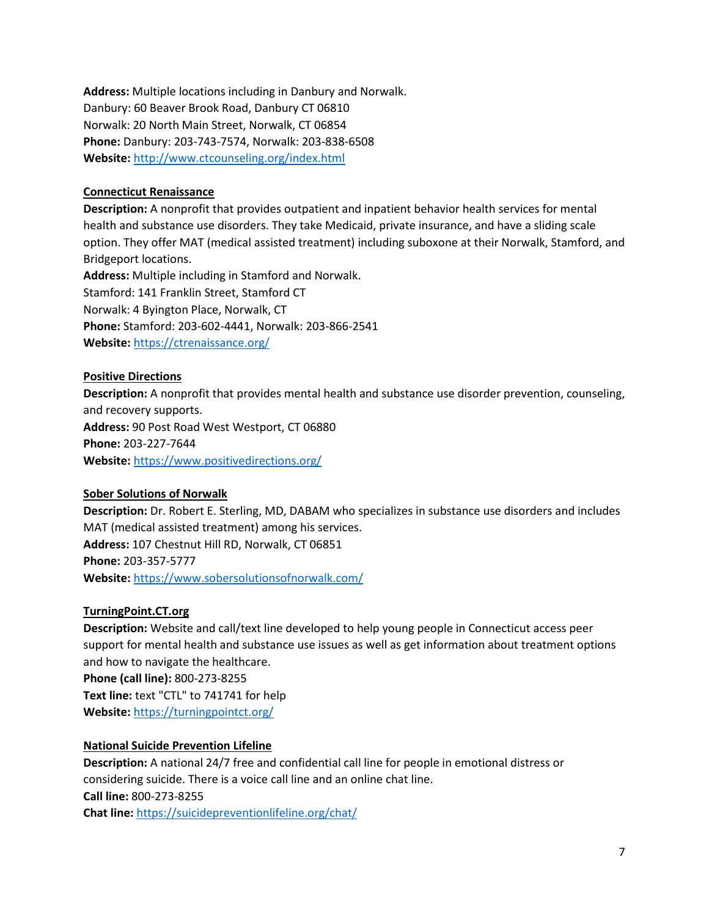**Address:** Multiple locations including in Danbury and Norwalk. Danbury: 60 Beaver Brook Road, Danbury CT 06810 Norwalk: 20 North Main Street, Norwalk, CT 06854 **Phone:** Danbury: 203-743-7574, Norwalk: 203-838-6508 **Website:** <http://www.ctcounseling.org/index.html>

#### **Connecticut Renaissance**

**Description:** A nonprofit that provides outpatient and inpatient behavior health services for mental health and substance use disorders. They take Medicaid, private insurance, and have a sliding scale option. They offer MAT (medical assisted treatment) including suboxone at their Norwalk, Stamford, and Bridgeport locations.

**Address:** Multiple including in Stamford and Norwalk. Stamford: 141 Franklin Street, Stamford CT Norwalk: 4 Byington Place, Norwalk, CT **Phone:** Stamford: 203-602-4441, Norwalk: 203-866-2541 **Website:** <https://ctrenaissance.org/>

#### **Positive Directions**

**Description:** A nonprofit that provides mental health and substance use disorder prevention, counseling, and recovery supports. **Address:** 90 Post Road West Westport, CT 06880 **Phone:** 203-227-7644 **Website:** <https://www.positivedirections.org/>

#### **Sober Solutions of Norwalk**

**Description:** Dr. Robert E. Sterling, MD, DABAM who specializes in substance use disorders and includes MAT (medical assisted treatment) among his services. **Address:** 107 Chestnut Hill RD, Norwalk, CT 06851 **Phone:** 203-357-5777 **Website:** <https://www.sobersolutionsofnorwalk.com/>

# **TurningPoint.CT.org**

**Description:** Website and call/text line developed to help young people in Connecticut access peer support for mental health and substance use issues as well as get information about treatment options and how to navigate the healthcare.

**Phone (call line):** 800-273-8255 **Text line:** text "CTL" to 741741 for help **Website:** <https://turningpointct.org/>

# **National Suicide Prevention Lifeline**

**Description:** A national 24/7 free and confidential call line for people in emotional distress or considering suicide. There is a voice call line and an online chat line. **Call line:** 800-273-8255 **Chat line:** <https://suicidepreventionlifeline.org/chat/>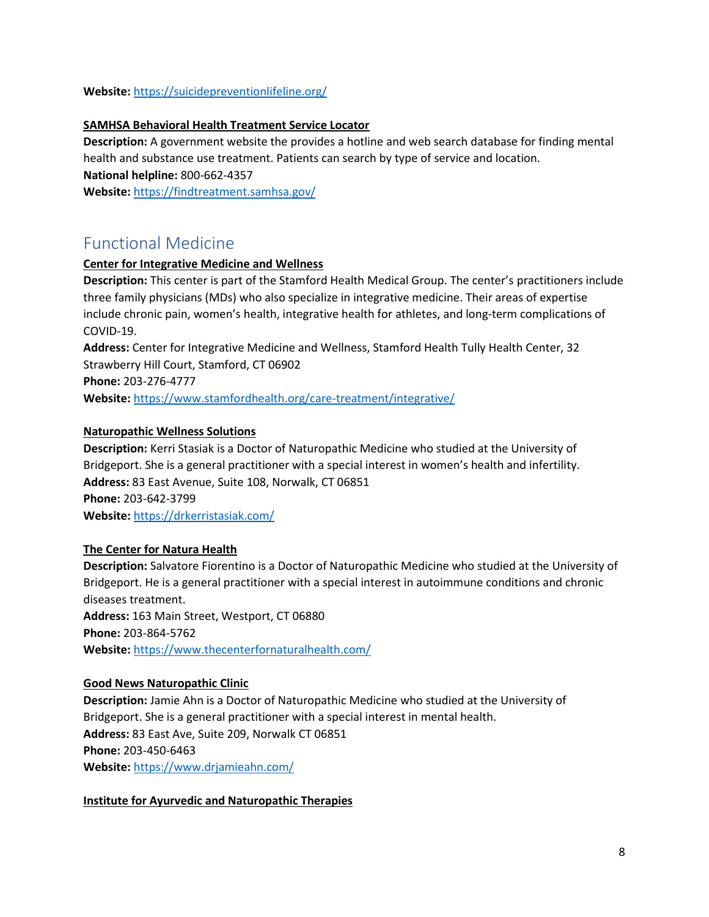**Website:** <https://suicidepreventionlifeline.org/>

#### **SAMHSA Behavioral Health Treatment Service Locator**

**Description:** A government website the provides a hotline and web search database for finding mental health and substance use treatment. Patients can search by type of service and location. **National helpline:** 800-662-4357 **Website:** <https://findtreatment.samhsa.gov/>

# <span id="page-7-0"></span>Functional Medicine

#### **Center for Integrative Medicine and Wellness**

**Description:** This center is part of the Stamford Health Medical Group. The center's practitioners include three family physicians (MDs) who also specialize in integrative medicine. Their areas of expertise include chronic pain, women's health, integrative health for athletes, and long-term complications of COVID-19.

**Address:** Center for Integrative Medicine and Wellness, Stamford Health Tully Health Center, 32 Strawberry Hill Court, Stamford, CT 06902 **Phone:** 203-276-4777

**Website:** <https://www.stamfordhealth.org/care-treatment/integrative/>

#### **Naturopathic Wellness Solutions**

**Description:** Kerri Stasiak is a Doctor of Naturopathic Medicine who studied at the University of Bridgeport. She is a general practitioner with a special interest in women's health and infertility. **Address:** 83 East Avenue, Suite 108, Norwalk, CT 06851 **Phone:** 203-642-3799 **Website:** <https://drkerristasiak.com/>

#### **The Center for Natura Health**

**Description:** Salvatore Fiorentino is a Doctor of Naturopathic Medicine who studied at the University of Bridgeport. He is a general practitioner with a special interest in autoimmune conditions and chronic diseases treatment. **Address:** 163 Main Street, Westport, CT 06880 **Phone:** 203-864-5762 **Website:** <https://www.thecenterfornaturalhealth.com/>

#### **Good News Naturopathic Clinic**

**Description:** Jamie Ahn is a Doctor of Naturopathic Medicine who studied at the University of Bridgeport. She is a general practitioner with a special interest in mental health. **Address:** 83 East Ave, Suite 209, Norwalk CT 06851 **Phone:** 203-450-6463 **Website:** <https://www.drjamieahn.com/>

#### **Institute for Ayurvedic and Naturopathic Therapies**